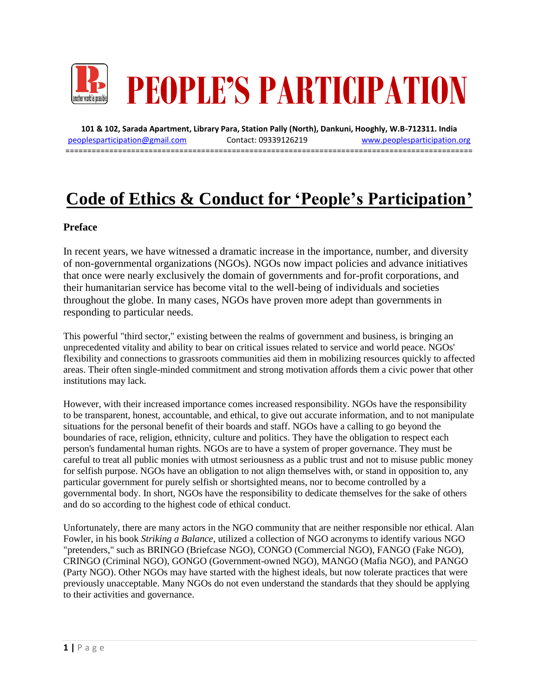

**101 & 102, Sarada Apartment, Library Para, Station Pally (North), Dankuni, Hooghly, W.B-712311. India** [peoplesparticipation@gmail.com](mailto:peoplesparticipation@gmail.com) Contact: 09339126219 [www.peoplesparticipation.org](http://www.peoplesparticipation.org/) ==================================

# **Code of Ethics & Conduct for 'People's Participation'**

#### **Preface**

In recent years, we have witnessed a dramatic increase in the importance, number, and diversity of non-governmental organizations (NGOs). NGOs now impact policies and advance initiatives that once were nearly exclusively the domain of governments and for-profit corporations, and their humanitarian service has become vital to the well-being of individuals and societies throughout the globe. In many cases, NGOs have proven more adept than governments in responding to particular needs.

This powerful "third sector," existing between the realms of government and business, is bringing an unprecedented vitality and ability to bear on critical issues related to service and world peace. NGOs' flexibility and connections to grassroots communities aid them in mobilizing resources quickly to affected areas. Their often single-minded commitment and strong motivation affords them a civic power that other institutions may lack.

However, with their increased importance comes increased responsibility. NGOs have the responsibility to be transparent, honest, accountable, and ethical, to give out accurate information, and to not manipulate situations for the personal benefit of their boards and staff. NGOs have a calling to go beyond the boundaries of race, religion, ethnicity, culture and politics. They have the obligation to respect each person's fundamental human rights. NGOs are to have a system of proper governance. They must be careful to treat all public monies with utmost seriousness as a public trust and not to misuse public money for selfish purpose. NGOs have an obligation to not align themselves with, or stand in opposition to, any particular government for purely selfish or shortsighted means, nor to become controlled by a governmental body. In short, NGOs have the responsibility to dedicate themselves for the sake of others and do so according to the highest code of ethical conduct.

Unfortunately, there are many actors in the NGO community that are neither responsible nor ethical. Alan Fowler, in his book *Striking a Balance*, utilized a collection of NGO acronyms to identify various NGO "pretenders," such as BRINGO (Briefcase NGO), CONGO (Commercial NGO), FANGO (Fake NGO), CRINGO (Criminal NGO), GONGO (Government-owned NGO), MANGO (Mafia NGO), and PANGO (Party NGO). Other NGOs may have started with the highest ideals, but now tolerate practices that were previously unacceptable. Many NGOs do not even understand the standards that they should be applying to their activities and governance.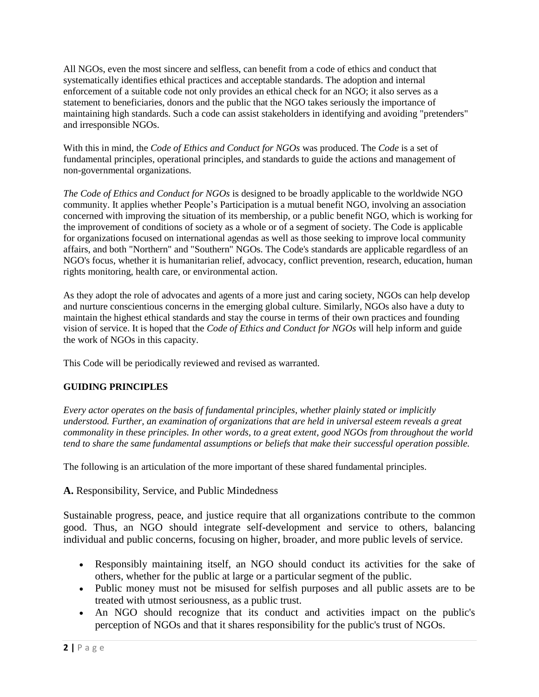All NGOs, even the most sincere and selfless, can benefit from a code of ethics and conduct that systematically identifies ethical practices and acceptable standards. The adoption and internal enforcement of a suitable code not only provides an ethical check for an NGO; it also serves as a statement to beneficiaries, donors and the public that the NGO takes seriously the importance of maintaining high standards. Such a code can assist stakeholders in identifying and avoiding "pretenders" and irresponsible NGOs.

With this in mind, the *Code of Ethics and Conduct for NGOs* was produced. The *Code* is a set of fundamental principles, operational principles, and standards to guide the actions and management of non-governmental organizations.

*The Code of Ethics and Conduct for NGOs* is designed to be broadly applicable to the worldwide NGO community. It applies whether People's Participation is a mutual benefit NGO, involving an association concerned with improving the situation of its membership, or a public benefit NGO, which is working for the improvement of conditions of society as a whole or of a segment of society. The Code is applicable for organizations focused on international agendas as well as those seeking to improve local community affairs, and both "Northern" and "Southern" NGOs. The Code's standards are applicable regardless of an NGO's focus, whether it is humanitarian relief, advocacy, conflict prevention, research, education, human rights monitoring, health care, or environmental action.

As they adopt the role of advocates and agents of a more just and caring society, NGOs can help develop and nurture conscientious concerns in the emerging global culture. Similarly, NGOs also have a duty to maintain the highest ethical standards and stay the course in terms of their own practices and founding vision of service. It is hoped that the *Code of Ethics and Conduct for NGOs* will help inform and guide the work of NGOs in this capacity.

This Code will be periodically reviewed and revised as warranted.

#### **GUIDING PRINCIPLES**

*Every actor operates on the basis of fundamental principles, whether plainly stated or implicitly understood. Further, an examination of organizations that are held in universal esteem reveals a great commonality in these principles. In other words, to a great extent, good NGOs from throughout the world tend to share the same fundamental assumptions or beliefs that make their successful operation possible.*

The following is an articulation of the more important of these shared fundamental principles.

#### **A.** Responsibility, Service, and Public Mindedness

Sustainable progress, peace, and justice require that all organizations contribute to the common good. Thus, an NGO should integrate self-development and service to others, balancing individual and public concerns, focusing on higher, broader, and more public levels of service.

- Responsibly maintaining itself, an NGO should conduct its activities for the sake of others, whether for the public at large or a particular segment of the public.
- Public money must not be misused for selfish purposes and all public assets are to be treated with utmost seriousness, as a public trust.
- An NGO should recognize that its conduct and activities impact on the public's perception of NGOs and that it shares responsibility for the public's trust of NGOs.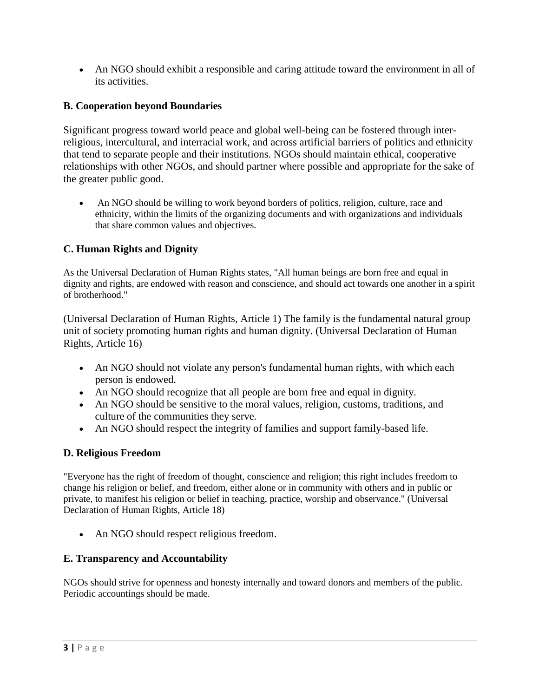An NGO should exhibit a responsible and caring attitude toward the environment in all of its activities.

## **B. Cooperation beyond Boundaries**

Significant progress toward world peace and global well-being can be fostered through interreligious, intercultural, and interracial work, and across artificial barriers of politics and ethnicity that tend to separate people and their institutions. NGOs should maintain ethical, cooperative relationships with other NGOs, and should partner where possible and appropriate for the sake of the greater public good.

 An NGO should be willing to work beyond borders of politics, religion, culture, race and ethnicity, within the limits of the organizing documents and with organizations and individuals that share common values and objectives.

## **C. Human Rights and Dignity**

As the Universal Declaration of Human Rights states, "All human beings are born free and equal in dignity and rights, are endowed with reason and conscience, and should act towards one another in a spirit of brotherhood."

(Universal Declaration of Human Rights, Article 1) The family is the fundamental natural group unit of society promoting human rights and human dignity. (Universal Declaration of Human Rights, Article 16)

- An NGO should not violate any person's fundamental human rights, with which each person is endowed.
- An NGO should recognize that all people are born free and equal in dignity.
- An NGO should be sensitive to the moral values, religion, customs, traditions, and culture of the communities they serve.
- An NGO should respect the integrity of families and support family-based life.

## **D. Religious Freedom**

"Everyone has the right of freedom of thought, conscience and religion; this right includes freedom to change his religion or belief, and freedom, either alone or in community with others and in public or private, to manifest his religion or belief in teaching, practice, worship and observance." (Universal Declaration of Human Rights, Article 18)

• An NGO should respect religious freedom.

## **E. Transparency and Accountability**

NGOs should strive for openness and honesty internally and toward donors and members of the public. Periodic accountings should be made.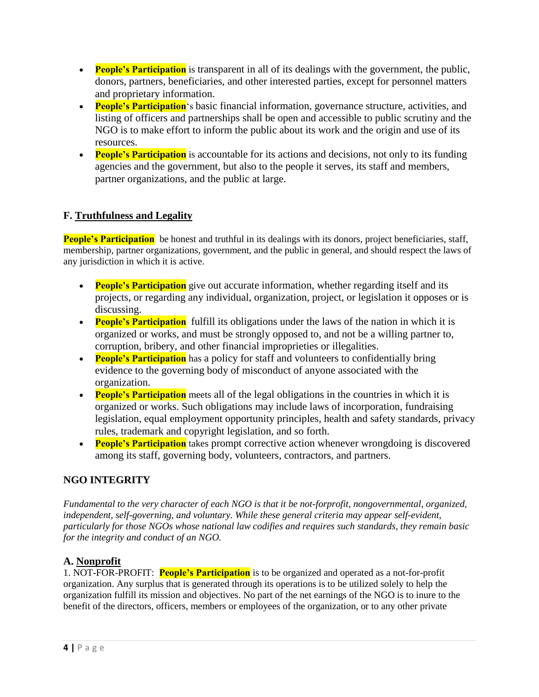- **People's Participation** is transparent in all of its dealings with the government, the public, donors, partners, beneficiaries, and other interested parties, except for personnel matters and proprietary information.
- **People's Participation**'s basic financial information, governance structure, activities, and listing of officers and partnerships shall be open and accessible to public scrutiny and the NGO is to make effort to inform the public about its work and the origin and use of its resources.
- **People's Participation** is accountable for its actions and decisions, not only to its funding agencies and the government, but also to the people it serves, its staff and members, partner organizations, and the public at large.

## **F. Truthfulness and Legality**

**People's Participation** be honest and truthful in its dealings with its donors, project beneficiaries, staff, membership, partner organizations, government, and the public in general, and should respect the laws of any jurisdiction in which it is active.

- **People's Participation** give out accurate information, whether regarding itself and its projects, or regarding any individual, organization, project, or legislation it opposes or is discussing.
- **People's Participation** fulfill its obligations under the laws of the nation in which it is organized or works, and must be strongly opposed to, and not be a willing partner to, corruption, bribery, and other financial improprieties or illegalities.
- **People's Participation** has a policy for staff and volunteers to confidentially bring evidence to the governing body of misconduct of anyone associated with the organization.
- **People's Participation** meets all of the legal obligations in the countries in which it is organized or works. Such obligations may include laws of incorporation, fundraising legislation, equal employment opportunity principles, health and safety standards, privacy rules, trademark and copyright legislation, and so forth.
- **People's Participation** takes prompt corrective action whenever wrongdoing is discovered among its staff, governing body, volunteers, contractors, and partners.

## **NGO INTEGRITY**

*Fundamental to the very character of each NGO is that it be not-forprofit, nongovernmental, organized, independent, self-governing, and voluntary. While these general criteria may appear self-evident, particularly for those NGOs whose national law codifies and requires such standards, they remain basic for the integrity and conduct of an NGO.*

## **A. Nonprofit**

1. NOT-FOR-PROFIT: **People's Participation** is to be organized and operated as a not-for-profit organization. Any surplus that is generated through its operations is to be utilized solely to help the organization fulfill its mission and objectives. No part of the net earnings of the NGO is to inure to the benefit of the directors, officers, members or employees of the organization, or to any other private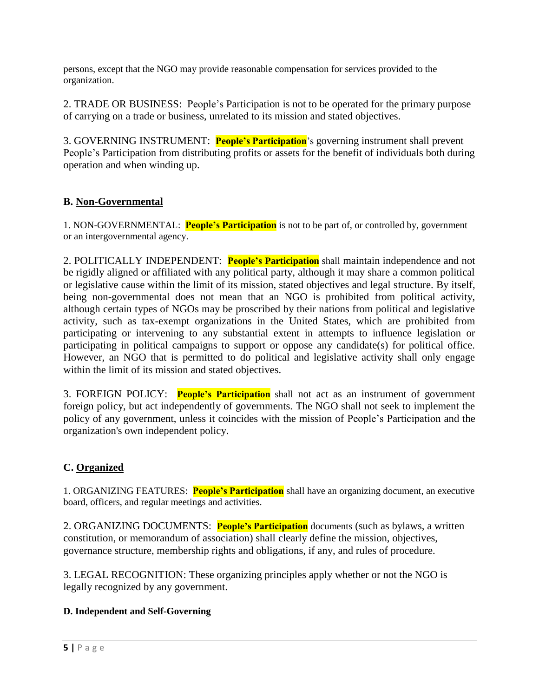persons, except that the NGO may provide reasonable compensation for services provided to the organization.

2. TRADE OR BUSINESS: People's Participation is not to be operated for the primary purpose of carrying on a trade or business, unrelated to its mission and stated objectives.

3. GOVERNING INSTRUMENT: **People's Participation**'s governing instrument shall prevent People's Participation from distributing profits or assets for the benefit of individuals both during operation and when winding up.

#### **B. Non-Governmental**

1. NON-GOVERNMENTAL: **People's Participation** is not to be part of, or controlled by, government or an intergovernmental agency.

2. POLITICALLY INDEPENDENT: **People's Participation** shall maintain independence and not be rigidly aligned or affiliated with any political party, although it may share a common political or legislative cause within the limit of its mission, stated objectives and legal structure. By itself, being non-governmental does not mean that an NGO is prohibited from political activity, although certain types of NGOs may be proscribed by their nations from political and legislative activity, such as tax-exempt organizations in the United States, which are prohibited from participating or intervening to any substantial extent in attempts to influence legislation or participating in political campaigns to support or oppose any candidate(s) for political office. However, an NGO that is permitted to do political and legislative activity shall only engage within the limit of its mission and stated objectives.

3. FOREIGN POLICY: **People's Participation** shall not act as an instrument of government foreign policy, but act independently of governments. The NGO shall not seek to implement the policy of any government, unless it coincides with the mission of People's Participation and the organization's own independent policy.

## **C. Organized**

1. ORGANIZING FEATURES: **People's Participation** shall have an organizing document, an executive board, officers, and regular meetings and activities.

2. ORGANIZING DOCUMENTS: **People's Participation** documents (such as bylaws, a written constitution, or memorandum of association) shall clearly define the mission, objectives, governance structure, membership rights and obligations, if any, and rules of procedure.

3. LEGAL RECOGNITION: These organizing principles apply whether or not the NGO is legally recognized by any government.

#### **D. Independent and Self-Governing**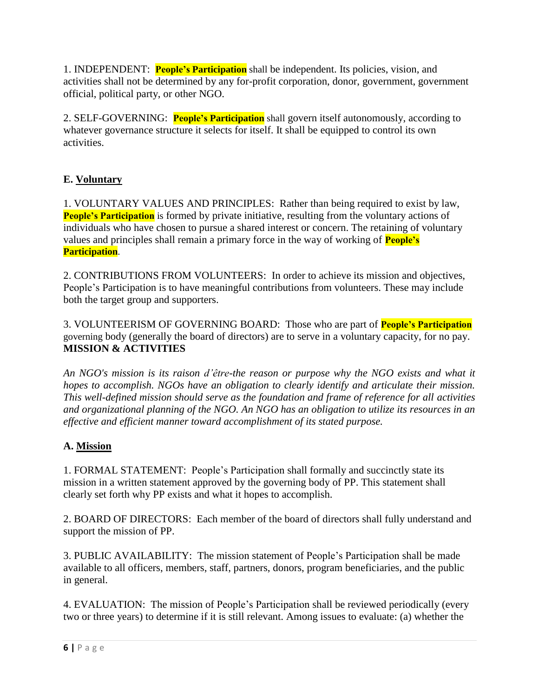1. INDEPENDENT: **People's Participation** shall be independent. Its policies, vision, and activities shall not be determined by any for-profit corporation, donor, government, government official, political party, or other NGO.

2. SELF-GOVERNING: **People's Participation** shall govern itself autonomously, according to whatever governance structure it selects for itself. It shall be equipped to control its own activities.

# **E. Voluntary**

1. VOLUNTARY VALUES AND PRINCIPLES: Rather than being required to exist by law, **People's Participation** is formed by private initiative, resulting from the voluntary actions of individuals who have chosen to pursue a shared interest or concern. The retaining of voluntary values and principles shall remain a primary force in the way of working of **People's Participation**.

2. CONTRIBUTIONS FROM VOLUNTEERS: In order to achieve its mission and objectives, People's Participation is to have meaningful contributions from volunteers. These may include both the target group and supporters.

3. VOLUNTEERISM OF GOVERNING BOARD: Those who are part of **People's Participation** governing body (generally the board of directors) are to serve in a voluntary capacity, for no pay. **MISSION & ACTIVITIES**

*An NGO's mission is its raison d'être-the reason or purpose why the NGO exists and what it hopes to accomplish. NGOs have an obligation to clearly identify and articulate their mission. This well-defined mission should serve as the foundation and frame of reference for all activities and organizational planning of the NGO. An NGO has an obligation to utilize its resources in an effective and efficient manner toward accomplishment of its stated purpose.*

# **A. Mission**

1. FORMAL STATEMENT: People's Participation shall formally and succinctly state its mission in a written statement approved by the governing body of PP. This statement shall clearly set forth why PP exists and what it hopes to accomplish.

2. BOARD OF DIRECTORS: Each member of the board of directors shall fully understand and support the mission of PP.

3. PUBLIC AVAILABILITY: The mission statement of People's Participation shall be made available to all officers, members, staff, partners, donors, program beneficiaries, and the public in general.

4. EVALUATION: The mission of People's Participation shall be reviewed periodically (every two or three years) to determine if it is still relevant. Among issues to evaluate: (a) whether the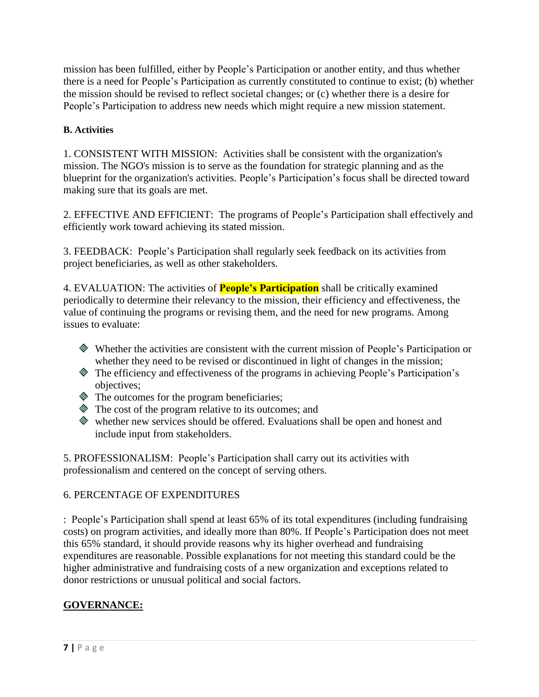mission has been fulfilled, either by People's Participation or another entity, and thus whether there is a need for People's Participation as currently constituted to continue to exist; (b) whether the mission should be revised to reflect societal changes; or (c) whether there is a desire for People's Participation to address new needs which might require a new mission statement.

#### **B. Activities**

1. CONSISTENT WITH MISSION: Activities shall be consistent with the organization's mission. The NGO's mission is to serve as the foundation for strategic planning and as the blueprint for the organization's activities. People's Participation's focus shall be directed toward making sure that its goals are met.

2. EFFECTIVE AND EFFICIENT: The programs of People's Participation shall effectively and efficiently work toward achieving its stated mission.

3. FEEDBACK: People's Participation shall regularly seek feedback on its activities from project beneficiaries, as well as other stakeholders.

4. EVALUATION: The activities of **People's Participation** shall be critically examined periodically to determine their relevancy to the mission, their efficiency and effectiveness, the value of continuing the programs or revising them, and the need for new programs. Among issues to evaluate:

- Whether the activities are consistent with the current mission of People's Participation or whether they need to be revised or discontinued in light of changes in the mission;
- The efficiency and effectiveness of the programs in achieving People's Participation's objectives;
- $\Diamond$  The outcomes for the program beneficiaries;
- $\Diamond$  The cost of the program relative to its outcomes; and
- whether new services should be offered. Evaluations shall be open and honest and include input from stakeholders.

5. PROFESSIONALISM: People's Participation shall carry out its activities with professionalism and centered on the concept of serving others.

#### 6. PERCENTAGE OF EXPENDITURES

: People's Participation shall spend at least 65% of its total expenditures (including fundraising costs) on program activities, and ideally more than 80%. If People's Participation does not meet this 65% standard, it should provide reasons why its higher overhead and fundraising expenditures are reasonable. Possible explanations for not meeting this standard could be the higher administrative and fundraising costs of a new organization and exceptions related to donor restrictions or unusual political and social factors.

# **GOVERNANCE:**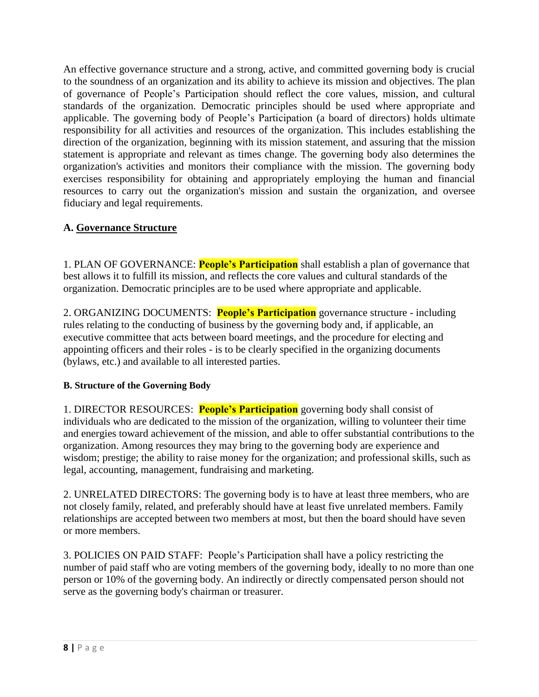An effective governance structure and a strong, active, and committed governing body is crucial to the soundness of an organization and its ability to achieve its mission and objectives. The plan of governance of People's Participation should reflect the core values, mission, and cultural standards of the organization. Democratic principles should be used where appropriate and applicable. The governing body of People's Participation (a board of directors) holds ultimate responsibility for all activities and resources of the organization. This includes establishing the direction of the organization, beginning with its mission statement, and assuring that the mission statement is appropriate and relevant as times change. The governing body also determines the organization's activities and monitors their compliance with the mission. The governing body exercises responsibility for obtaining and appropriately employing the human and financial resources to carry out the organization's mission and sustain the organization, and oversee fiduciary and legal requirements.

## **A. Governance Structure**

1. PLAN OF GOVERNANCE: **People's Participation** shall establish a plan of governance that best allows it to fulfill its mission, and reflects the core values and cultural standards of the organization. Democratic principles are to be used where appropriate and applicable.

2. ORGANIZING DOCUMENTS: **People's Participation** governance structure - including rules relating to the conducting of business by the governing body and, if applicable, an executive committee that acts between board meetings, and the procedure for electing and appointing officers and their roles - is to be clearly specified in the organizing documents (bylaws, etc.) and available to all interested parties.

## **B. Structure of the Governing Body**

1. DIRECTOR RESOURCES: **People's Participation** governing body shall consist of individuals who are dedicated to the mission of the organization, willing to volunteer their time and energies toward achievement of the mission, and able to offer substantial contributions to the organization. Among resources they may bring to the governing body are experience and wisdom; prestige; the ability to raise money for the organization; and professional skills, such as legal, accounting, management, fundraising and marketing.

2. UNRELATED DIRECTORS: The governing body is to have at least three members, who are not closely family, related, and preferably should have at least five unrelated members. Family relationships are accepted between two members at most, but then the board should have seven or more members.

3. POLICIES ON PAID STAFF: People's Participation shall have a policy restricting the number of paid staff who are voting members of the governing body, ideally to no more than one person or 10% of the governing body. An indirectly or directly compensated person should not serve as the governing body's chairman or treasurer.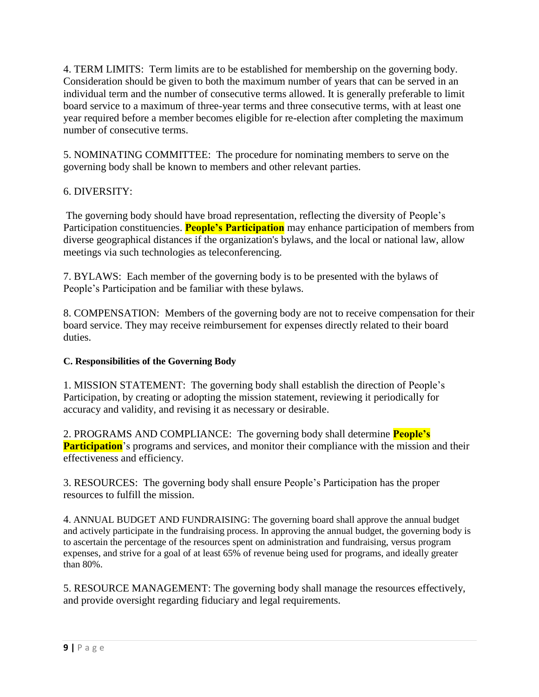4. TERM LIMITS: Term limits are to be established for membership on the governing body. Consideration should be given to both the maximum number of years that can be served in an individual term and the number of consecutive terms allowed. It is generally preferable to limit board service to a maximum of three-year terms and three consecutive terms, with at least one year required before a member becomes eligible for re-election after completing the maximum number of consecutive terms.

5. NOMINATING COMMITTEE: The procedure for nominating members to serve on the governing body shall be known to members and other relevant parties.

## 6. DIVERSITY:

The governing body should have broad representation, reflecting the diversity of People's Participation constituencies. **People's Participation** may enhance participation of members from diverse geographical distances if the organization's bylaws, and the local or national law, allow meetings via such technologies as teleconferencing.

7. BYLAWS: Each member of the governing body is to be presented with the bylaws of People's Participation and be familiar with these bylaws.

8. COMPENSATION: Members of the governing body are not to receive compensation for their board service. They may receive reimbursement for expenses directly related to their board duties.

#### **C. Responsibilities of the Governing Body**

1. MISSION STATEMENT: The governing body shall establish the direction of People's Participation, by creating or adopting the mission statement, reviewing it periodically for accuracy and validity, and revising it as necessary or desirable.

2. PROGRAMS AND COMPLIANCE: The governing body shall determine **People's Participation**'s programs and services, and monitor their compliance with the mission and their effectiveness and efficiency.

3. RESOURCES: The governing body shall ensure People's Participation has the proper resources to fulfill the mission.

4. ANNUAL BUDGET AND FUNDRAISING: The governing board shall approve the annual budget and actively participate in the fundraising process. In approving the annual budget, the governing body is to ascertain the percentage of the resources spent on administration and fundraising, versus program expenses, and strive for a goal of at least 65% of revenue being used for programs, and ideally greater than 80%.

5. RESOURCE MANAGEMENT: The governing body shall manage the resources effectively, and provide oversight regarding fiduciary and legal requirements.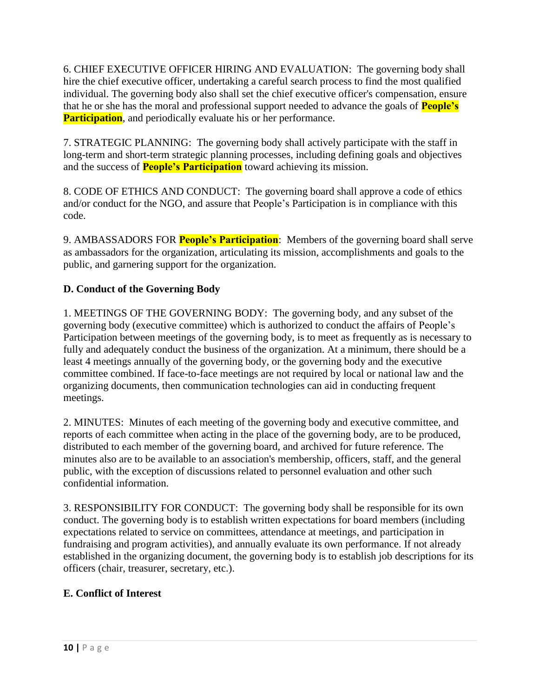6. CHIEF EXECUTIVE OFFICER HIRING AND EVALUATION: The governing body shall hire the chief executive officer, undertaking a careful search process to find the most qualified individual. The governing body also shall set the chief executive officer's compensation, ensure that he or she has the moral and professional support needed to advance the goals of **People's Participation**, and periodically evaluate his or her performance.

7. STRATEGIC PLANNING: The governing body shall actively participate with the staff in long-term and short-term strategic planning processes, including defining goals and objectives and the success of **People's Participation** toward achieving its mission.

8. CODE OF ETHICS AND CONDUCT: The governing board shall approve a code of ethics and/or conduct for the NGO, and assure that People's Participation is in compliance with this code.

9. AMBASSADORS FOR **People's Participation**: Members of the governing board shall serve as ambassadors for the organization, articulating its mission, accomplishments and goals to the public, and garnering support for the organization.

# **D. Conduct of the Governing Body**

1. MEETINGS OF THE GOVERNING BODY: The governing body, and any subset of the governing body (executive committee) which is authorized to conduct the affairs of People's Participation between meetings of the governing body, is to meet as frequently as is necessary to fully and adequately conduct the business of the organization. At a minimum, there should be a least 4 meetings annually of the governing body, or the governing body and the executive committee combined. If face-to-face meetings are not required by local or national law and the organizing documents, then communication technologies can aid in conducting frequent meetings.

2. MINUTES: Minutes of each meeting of the governing body and executive committee, and reports of each committee when acting in the place of the governing body, are to be produced, distributed to each member of the governing board, and archived for future reference. The minutes also are to be available to an association's membership, officers, staff, and the general public, with the exception of discussions related to personnel evaluation and other such confidential information.

3. RESPONSIBILITY FOR CONDUCT: The governing body shall be responsible for its own conduct. The governing body is to establish written expectations for board members (including expectations related to service on committees, attendance at meetings, and participation in fundraising and program activities), and annually evaluate its own performance. If not already established in the organizing document, the governing body is to establish job descriptions for its officers (chair, treasurer, secretary, etc.).

## **E. Conflict of Interest**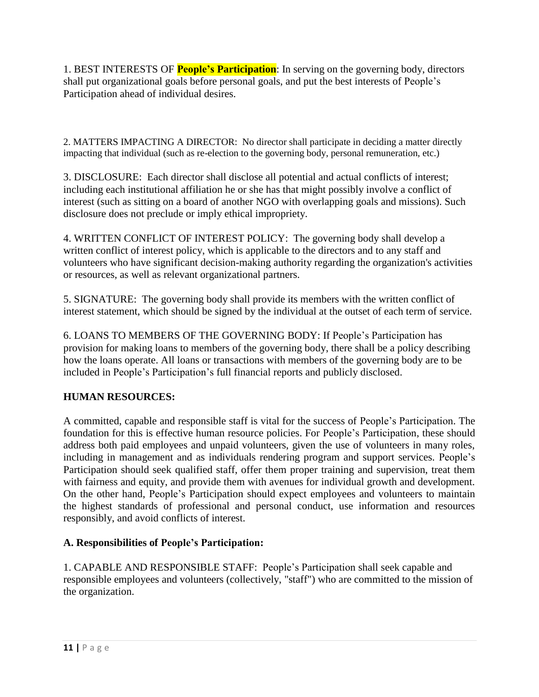1. BEST INTERESTS OF **People's Participation**: In serving on the governing body, directors shall put organizational goals before personal goals, and put the best interests of People's Participation ahead of individual desires.

2. MATTERS IMPACTING A DIRECTOR: No director shall participate in deciding a matter directly impacting that individual (such as re-election to the governing body, personal remuneration, etc.)

3. DISCLOSURE: Each director shall disclose all potential and actual conflicts of interest; including each institutional affiliation he or she has that might possibly involve a conflict of interest (such as sitting on a board of another NGO with overlapping goals and missions). Such disclosure does not preclude or imply ethical impropriety.

4. WRITTEN CONFLICT OF INTEREST POLICY: The governing body shall develop a written conflict of interest policy, which is applicable to the directors and to any staff and volunteers who have significant decision-making authority regarding the organization's activities or resources, as well as relevant organizational partners.

5. SIGNATURE: The governing body shall provide its members with the written conflict of interest statement, which should be signed by the individual at the outset of each term of service.

6. LOANS TO MEMBERS OF THE GOVERNING BODY: If People's Participation has provision for making loans to members of the governing body, there shall be a policy describing how the loans operate. All loans or transactions with members of the governing body are to be included in People's Participation's full financial reports and publicly disclosed.

## **HUMAN RESOURCES:**

A committed, capable and responsible staff is vital for the success of People's Participation. The foundation for this is effective human resource policies. For People's Participation, these should address both paid employees and unpaid volunteers, given the use of volunteers in many roles, including in management and as individuals rendering program and support services. People's Participation should seek qualified staff, offer them proper training and supervision, treat them with fairness and equity, and provide them with avenues for individual growth and development. On the other hand, People's Participation should expect employees and volunteers to maintain the highest standards of professional and personal conduct, use information and resources responsibly, and avoid conflicts of interest.

#### **A. Responsibilities of People's Participation:**

1. CAPABLE AND RESPONSIBLE STAFF: People's Participation shall seek capable and responsible employees and volunteers (collectively, "staff") who are committed to the mission of the organization.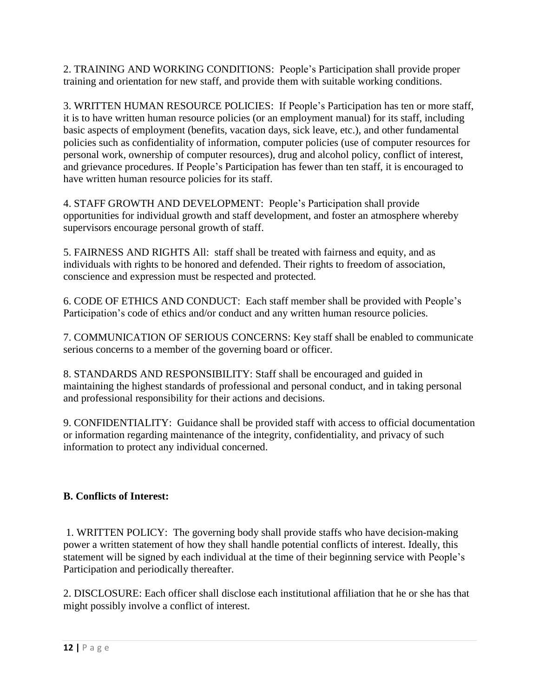2. TRAINING AND WORKING CONDITIONS: People's Participation shall provide proper training and orientation for new staff, and provide them with suitable working conditions.

3. WRITTEN HUMAN RESOURCE POLICIES: If People's Participation has ten or more staff, it is to have written human resource policies (or an employment manual) for its staff, including basic aspects of employment (benefits, vacation days, sick leave, etc.), and other fundamental policies such as confidentiality of information, computer policies (use of computer resources for personal work, ownership of computer resources), drug and alcohol policy, conflict of interest, and grievance procedures. If People's Participation has fewer than ten staff, it is encouraged to have written human resource policies for its staff.

4. STAFF GROWTH AND DEVELOPMENT: People's Participation shall provide opportunities for individual growth and staff development, and foster an atmosphere whereby supervisors encourage personal growth of staff.

5. FAIRNESS AND RIGHTS All: staff shall be treated with fairness and equity, and as individuals with rights to be honored and defended. Their rights to freedom of association, conscience and expression must be respected and protected.

6. CODE OF ETHICS AND CONDUCT: Each staff member shall be provided with People's Participation's code of ethics and/or conduct and any written human resource policies.

7. COMMUNICATION OF SERIOUS CONCERNS: Key staff shall be enabled to communicate serious concerns to a member of the governing board or officer.

8. STANDARDS AND RESPONSIBILITY: Staff shall be encouraged and guided in maintaining the highest standards of professional and personal conduct, and in taking personal and professional responsibility for their actions and decisions.

9. CONFIDENTIALITY: Guidance shall be provided staff with access to official documentation or information regarding maintenance of the integrity, confidentiality, and privacy of such information to protect any individual concerned.

# **B. Conflicts of Interest:**

1. WRITTEN POLICY: The governing body shall provide staffs who have decision-making power a written statement of how they shall handle potential conflicts of interest. Ideally, this statement will be signed by each individual at the time of their beginning service with People's Participation and periodically thereafter.

2. DISCLOSURE: Each officer shall disclose each institutional affiliation that he or she has that might possibly involve a conflict of interest.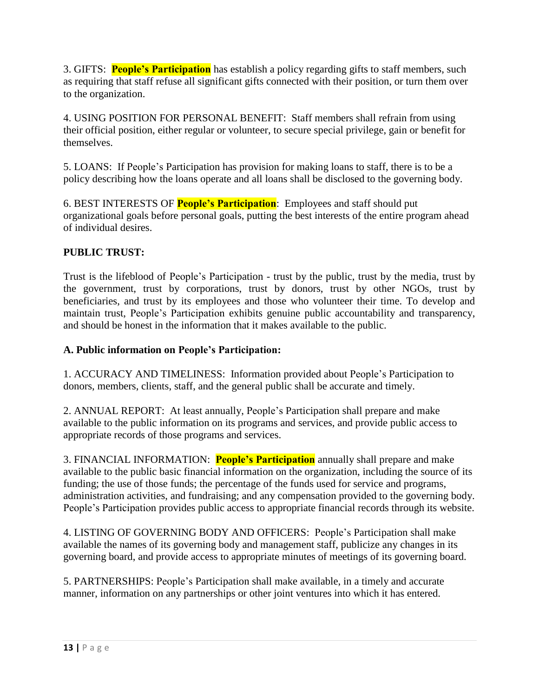3. GIFTS: **People's Participation** has establish a policy regarding gifts to staff members, such as requiring that staff refuse all significant gifts connected with their position, or turn them over to the organization.

4. USING POSITION FOR PERSONAL BENEFIT: Staff members shall refrain from using their official position, either regular or volunteer, to secure special privilege, gain or benefit for themselves.

5. LOANS: If People's Participation has provision for making loans to staff, there is to be a policy describing how the loans operate and all loans shall be disclosed to the governing body.

6. BEST INTERESTS OF **People's Participation**: Employees and staff should put organizational goals before personal goals, putting the best interests of the entire program ahead of individual desires.

## **PUBLIC TRUST:**

Trust is the lifeblood of People's Participation - trust by the public, trust by the media, trust by the government, trust by corporations, trust by donors, trust by other NGOs, trust by beneficiaries, and trust by its employees and those who volunteer their time. To develop and maintain trust, People's Participation exhibits genuine public accountability and transparency, and should be honest in the information that it makes available to the public.

## **A. Public information on People's Participation:**

1. ACCURACY AND TIMELINESS: Information provided about People's Participation to donors, members, clients, staff, and the general public shall be accurate and timely.

2. ANNUAL REPORT: At least annually, People's Participation shall prepare and make available to the public information on its programs and services, and provide public access to appropriate records of those programs and services.

3. FINANCIAL INFORMATION: **People's Participation** annually shall prepare and make available to the public basic financial information on the organization, including the source of its funding; the use of those funds; the percentage of the funds used for service and programs, administration activities, and fundraising; and any compensation provided to the governing body. People's Participation provides public access to appropriate financial records through its website.

4. LISTING OF GOVERNING BODY AND OFFICERS: People's Participation shall make available the names of its governing body and management staff, publicize any changes in its governing board, and provide access to appropriate minutes of meetings of its governing board.

5. PARTNERSHIPS: People's Participation shall make available, in a timely and accurate manner, information on any partnerships or other joint ventures into which it has entered.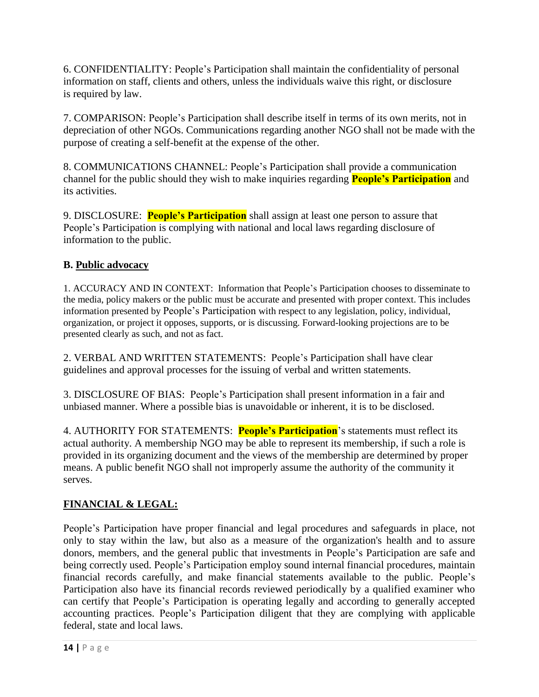6. CONFIDENTIALITY: People's Participation shall maintain the confidentiality of personal information on staff, clients and others, unless the individuals waive this right, or disclosure is required by law.

7. COMPARISON: People's Participation shall describe itself in terms of its own merits, not in depreciation of other NGOs. Communications regarding another NGO shall not be made with the purpose of creating a self-benefit at the expense of the other.

8. COMMUNICATIONS CHANNEL: People's Participation shall provide a communication channel for the public should they wish to make inquiries regarding **People's Participation** and its activities.

9. DISCLOSURE: **People's Participation** shall assign at least one person to assure that People's Participation is complying with national and local laws regarding disclosure of information to the public.

# **B. Public advocacy**

1. ACCURACY AND IN CONTEXT: Information that People's Participation chooses to disseminate to the media, policy makers or the public must be accurate and presented with proper context. This includes information presented by People's Participation with respect to any legislation, policy, individual, organization, or project it opposes, supports, or is discussing. Forward-looking projections are to be presented clearly as such, and not as fact.

2. VERBAL AND WRITTEN STATEMENTS: People's Participation shall have clear guidelines and approval processes for the issuing of verbal and written statements.

3. DISCLOSURE OF BIAS: People's Participation shall present information in a fair and unbiased manner. Where a possible bias is unavoidable or inherent, it is to be disclosed.

4. AUTHORITY FOR STATEMENTS: **People's Participation**'s statements must reflect its actual authority. A membership NGO may be able to represent its membership, if such a role is provided in its organizing document and the views of the membership are determined by proper means. A public benefit NGO shall not improperly assume the authority of the community it serves.

# **FINANCIAL & LEGAL:**

People's Participation have proper financial and legal procedures and safeguards in place, not only to stay within the law, but also as a measure of the organization's health and to assure donors, members, and the general public that investments in People's Participation are safe and being correctly used. People's Participation employ sound internal financial procedures, maintain financial records carefully, and make financial statements available to the public. People's Participation also have its financial records reviewed periodically by a qualified examiner who can certify that People's Participation is operating legally and according to generally accepted accounting practices. People's Participation diligent that they are complying with applicable federal, state and local laws.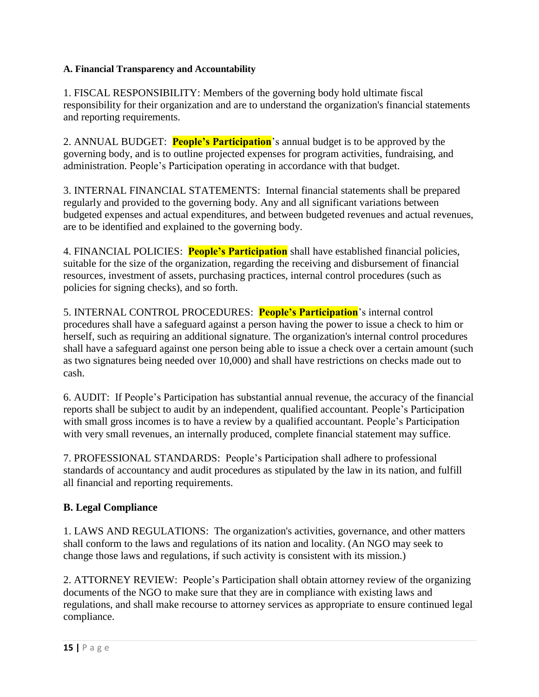#### **A. Financial Transparency and Accountability**

1. FISCAL RESPONSIBILITY: Members of the governing body hold ultimate fiscal responsibility for their organization and are to understand the organization's financial statements and reporting requirements.

2. ANNUAL BUDGET: **People's Participation**'s annual budget is to be approved by the governing body, and is to outline projected expenses for program activities, fundraising, and administration. People's Participation operating in accordance with that budget.

3. INTERNAL FINANCIAL STATEMENTS: Internal financial statements shall be prepared regularly and provided to the governing body. Any and all significant variations between budgeted expenses and actual expenditures, and between budgeted revenues and actual revenues, are to be identified and explained to the governing body.

4. FINANCIAL POLICIES: **People's Participation** shall have established financial policies, suitable for the size of the organization, regarding the receiving and disbursement of financial resources, investment of assets, purchasing practices, internal control procedures (such as policies for signing checks), and so forth.

5. INTERNAL CONTROL PROCEDURES: **People's Participation**'s internal control procedures shall have a safeguard against a person having the power to issue a check to him or herself, such as requiring an additional signature. The organization's internal control procedures shall have a safeguard against one person being able to issue a check over a certain amount (such as two signatures being needed over 10,000) and shall have restrictions on checks made out to cash.

6. AUDIT: If People's Participation has substantial annual revenue, the accuracy of the financial reports shall be subject to audit by an independent, qualified accountant. People's Participation with small gross incomes is to have a review by a qualified accountant. People's Participation with very small revenues, an internally produced, complete financial statement may suffice.

7. PROFESSIONAL STANDARDS: People's Participation shall adhere to professional standards of accountancy and audit procedures as stipulated by the law in its nation, and fulfill all financial and reporting requirements.

## **B. Legal Compliance**

1. LAWS AND REGULATIONS: The organization's activities, governance, and other matters shall conform to the laws and regulations of its nation and locality. (An NGO may seek to change those laws and regulations, if such activity is consistent with its mission.)

2. ATTORNEY REVIEW: People's Participation shall obtain attorney review of the organizing documents of the NGO to make sure that they are in compliance with existing laws and regulations, and shall make recourse to attorney services as appropriate to ensure continued legal compliance.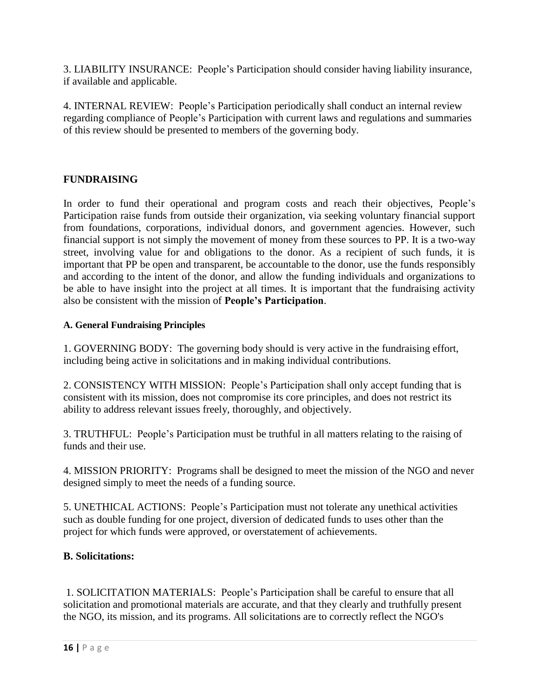3. LIABILITY INSURANCE: People's Participation should consider having liability insurance, if available and applicable.

4. INTERNAL REVIEW: People's Participation periodically shall conduct an internal review regarding compliance of People's Participation with current laws and regulations and summaries of this review should be presented to members of the governing body.

## **FUNDRAISING**

In order to fund their operational and program costs and reach their objectives, People's Participation raise funds from outside their organization, via seeking voluntary financial support from foundations, corporations, individual donors, and government agencies. However, such financial support is not simply the movement of money from these sources to PP. It is a two-way street, involving value for and obligations to the donor. As a recipient of such funds, it is important that PP be open and transparent, be accountable to the donor, use the funds responsibly and according to the intent of the donor, and allow the funding individuals and organizations to be able to have insight into the project at all times. It is important that the fundraising activity also be consistent with the mission of **People's Participation**.

#### **A. General Fundraising Principles**

1. GOVERNING BODY: The governing body should is very active in the fundraising effort, including being active in solicitations and in making individual contributions.

2. CONSISTENCY WITH MISSION: People's Participation shall only accept funding that is consistent with its mission, does not compromise its core principles, and does not restrict its ability to address relevant issues freely, thoroughly, and objectively.

3. TRUTHFUL: People's Participation must be truthful in all matters relating to the raising of funds and their use.

4. MISSION PRIORITY: Programs shall be designed to meet the mission of the NGO and never designed simply to meet the needs of a funding source.

5. UNETHICAL ACTIONS: People's Participation must not tolerate any unethical activities such as double funding for one project, diversion of dedicated funds to uses other than the project for which funds were approved, or overstatement of achievements.

## **B. Solicitations:**

1. SOLICITATION MATERIALS: People's Participation shall be careful to ensure that all solicitation and promotional materials are accurate, and that they clearly and truthfully present the NGO, its mission, and its programs. All solicitations are to correctly reflect the NGO's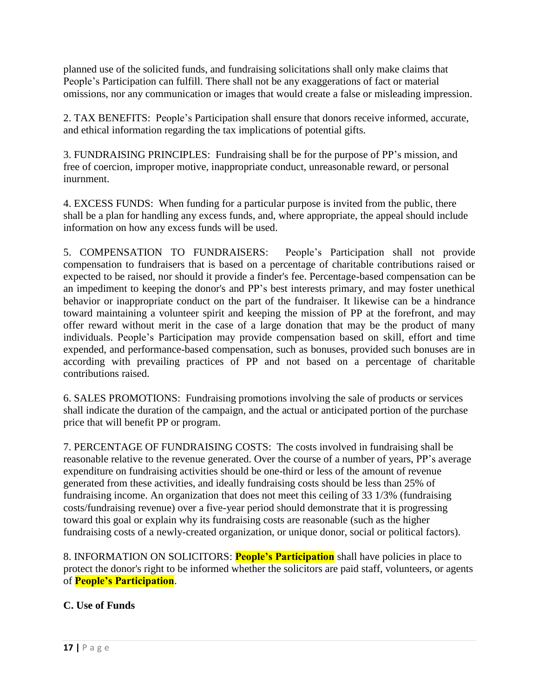planned use of the solicited funds, and fundraising solicitations shall only make claims that People's Participation can fulfill. There shall not be any exaggerations of fact or material omissions, nor any communication or images that would create a false or misleading impression.

2. TAX BENEFITS: People's Participation shall ensure that donors receive informed, accurate, and ethical information regarding the tax implications of potential gifts.

3. FUNDRAISING PRINCIPLES: Fundraising shall be for the purpose of PP's mission, and free of coercion, improper motive, inappropriate conduct, unreasonable reward, or personal inurnment.

4. EXCESS FUNDS: When funding for a particular purpose is invited from the public, there shall be a plan for handling any excess funds, and, where appropriate, the appeal should include information on how any excess funds will be used.

5. COMPENSATION TO FUNDRAISERS: People's Participation shall not provide compensation to fundraisers that is based on a percentage of charitable contributions raised or expected to be raised, nor should it provide a finder's fee. Percentage-based compensation can be an impediment to keeping the donor's and PP's best interests primary, and may foster unethical behavior or inappropriate conduct on the part of the fundraiser. It likewise can be a hindrance toward maintaining a volunteer spirit and keeping the mission of PP at the forefront, and may offer reward without merit in the case of a large donation that may be the product of many individuals. People's Participation may provide compensation based on skill, effort and time expended, and performance-based compensation, such as bonuses, provided such bonuses are in according with prevailing practices of PP and not based on a percentage of charitable contributions raised.

6. SALES PROMOTIONS: Fundraising promotions involving the sale of products or services shall indicate the duration of the campaign, and the actual or anticipated portion of the purchase price that will benefit PP or program.

7. PERCENTAGE OF FUNDRAISING COSTS: The costs involved in fundraising shall be reasonable relative to the revenue generated. Over the course of a number of years, PP's average expenditure on fundraising activities should be one-third or less of the amount of revenue generated from these activities, and ideally fundraising costs should be less than 25% of fundraising income. An organization that does not meet this ceiling of 33 1/3% (fundraising costs/fundraising revenue) over a five-year period should demonstrate that it is progressing toward this goal or explain why its fundraising costs are reasonable (such as the higher fundraising costs of a newly-created organization, or unique donor, social or political factors).

8. INFORMATION ON SOLICITORS: **People's Participation** shall have policies in place to protect the donor's right to be informed whether the solicitors are paid staff, volunteers, or agents of **People's Participation**.

## **C. Use of Funds**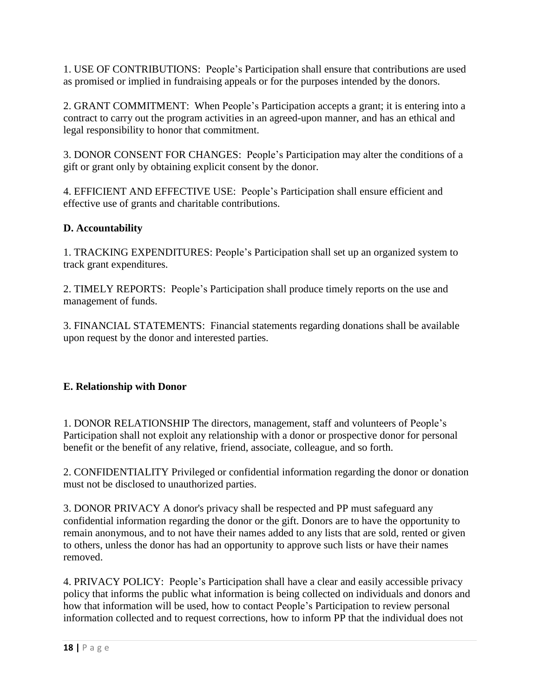1. USE OF CONTRIBUTIONS: People's Participation shall ensure that contributions are used as promised or implied in fundraising appeals or for the purposes intended by the donors.

2. GRANT COMMITMENT: When People's Participation accepts a grant; it is entering into a contract to carry out the program activities in an agreed-upon manner, and has an ethical and legal responsibility to honor that commitment.

3. DONOR CONSENT FOR CHANGES: People's Participation may alter the conditions of a gift or grant only by obtaining explicit consent by the donor.

4. EFFICIENT AND EFFECTIVE USE: People's Participation shall ensure efficient and effective use of grants and charitable contributions.

## **D. Accountability**

1. TRACKING EXPENDITURES: People's Participation shall set up an organized system to track grant expenditures.

2. TIMELY REPORTS: People's Participation shall produce timely reports on the use and management of funds.

3. FINANCIAL STATEMENTS: Financial statements regarding donations shall be available upon request by the donor and interested parties.

# **E. Relationship with Donor**

1. DONOR RELATIONSHIP The directors, management, staff and volunteers of People's Participation shall not exploit any relationship with a donor or prospective donor for personal benefit or the benefit of any relative, friend, associate, colleague, and so forth.

2. CONFIDENTIALITY Privileged or confidential information regarding the donor or donation must not be disclosed to unauthorized parties.

3. DONOR PRIVACY A donor's privacy shall be respected and PP must safeguard any confidential information regarding the donor or the gift. Donors are to have the opportunity to remain anonymous, and to not have their names added to any lists that are sold, rented or given to others, unless the donor has had an opportunity to approve such lists or have their names removed.

4. PRIVACY POLICY: People's Participation shall have a clear and easily accessible privacy policy that informs the public what information is being collected on individuals and donors and how that information will be used, how to contact People's Participation to review personal information collected and to request corrections, how to inform PP that the individual does not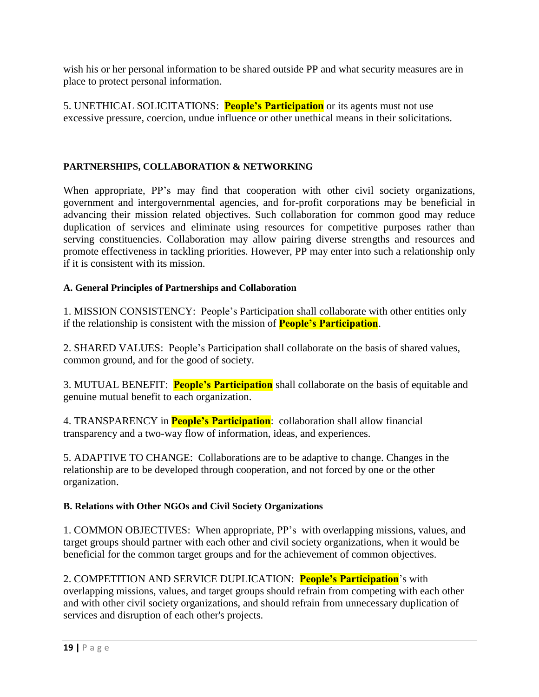wish his or her personal information to be shared outside PP and what security measures are in place to protect personal information.

5. UNETHICAL SOLICITATIONS: **People's Participation** or its agents must not use excessive pressure, coercion, undue influence or other unethical means in their solicitations.

#### **PARTNERSHIPS, COLLABORATION & NETWORKING**

When appropriate, PP's may find that cooperation with other civil society organizations, government and intergovernmental agencies, and for-profit corporations may be beneficial in advancing their mission related objectives. Such collaboration for common good may reduce duplication of services and eliminate using resources for competitive purposes rather than serving constituencies. Collaboration may allow pairing diverse strengths and resources and promote effectiveness in tackling priorities. However, PP may enter into such a relationship only if it is consistent with its mission.

#### **A. General Principles of Partnerships and Collaboration**

1. MISSION CONSISTENCY: People's Participation shall collaborate with other entities only if the relationship is consistent with the mission of **People's Participation**.

2. SHARED VALUES: People's Participation shall collaborate on the basis of shared values, common ground, and for the good of society.

3. MUTUAL BENEFIT: **People's Participation** shall collaborate on the basis of equitable and genuine mutual benefit to each organization.

4. TRANSPARENCY in **People's Participation**: collaboration shall allow financial transparency and a two-way flow of information, ideas, and experiences.

5. ADAPTIVE TO CHANGE: Collaborations are to be adaptive to change. Changes in the relationship are to be developed through cooperation, and not forced by one or the other organization.

#### **B. Relations with Other NGOs and Civil Society Organizations**

1. COMMON OBJECTIVES: When appropriate, PP's with overlapping missions, values, and target groups should partner with each other and civil society organizations, when it would be beneficial for the common target groups and for the achievement of common objectives.

2. COMPETITION AND SERVICE DUPLICATION: **People's Participation**'s with overlapping missions, values, and target groups should refrain from competing with each other and with other civil society organizations, and should refrain from unnecessary duplication of services and disruption of each other's projects.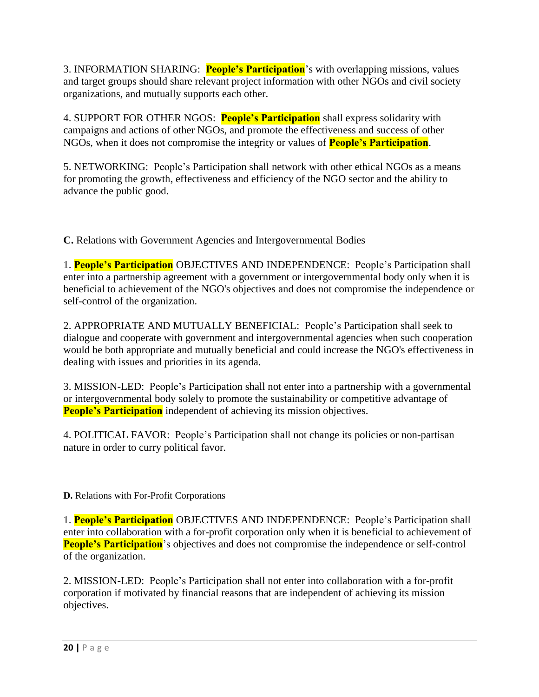3. INFORMATION SHARING: **People's Participation**'s with overlapping missions, values and target groups should share relevant project information with other NGOs and civil society organizations, and mutually supports each other.

4. SUPPORT FOR OTHER NGOS: **People's Participation** shall express solidarity with campaigns and actions of other NGOs, and promote the effectiveness and success of other NGOs, when it does not compromise the integrity or values of **People's Participation**.

5. NETWORKING: People's Participation shall network with other ethical NGOs as a means for promoting the growth, effectiveness and efficiency of the NGO sector and the ability to advance the public good.

**C.** Relations with Government Agencies and Intergovernmental Bodies

1. **People's Participation** OBJECTIVES AND INDEPENDENCE: People's Participation shall enter into a partnership agreement with a government or intergovernmental body only when it is beneficial to achievement of the NGO's objectives and does not compromise the independence or self-control of the organization.

2. APPROPRIATE AND MUTUALLY BENEFICIAL: People's Participation shall seek to dialogue and cooperate with government and intergovernmental agencies when such cooperation would be both appropriate and mutually beneficial and could increase the NGO's effectiveness in dealing with issues and priorities in its agenda.

3. MISSION-LED: People's Participation shall not enter into a partnership with a governmental or intergovernmental body solely to promote the sustainability or competitive advantage of **People's Participation** independent of achieving its mission objectives.

4. POLITICAL FAVOR: People's Participation shall not change its policies or non-partisan nature in order to curry political favor.

**D.** Relations with For-Profit Corporations

1. **People's Participation** OBJECTIVES AND INDEPENDENCE: People's Participation shall enter into collaboration with a for-profit corporation only when it is beneficial to achievement of **People's Participation**'s objectives and does not compromise the independence or self-control of the organization.

2. MISSION-LED: People's Participation shall not enter into collaboration with a for-profit corporation if motivated by financial reasons that are independent of achieving its mission objectives.